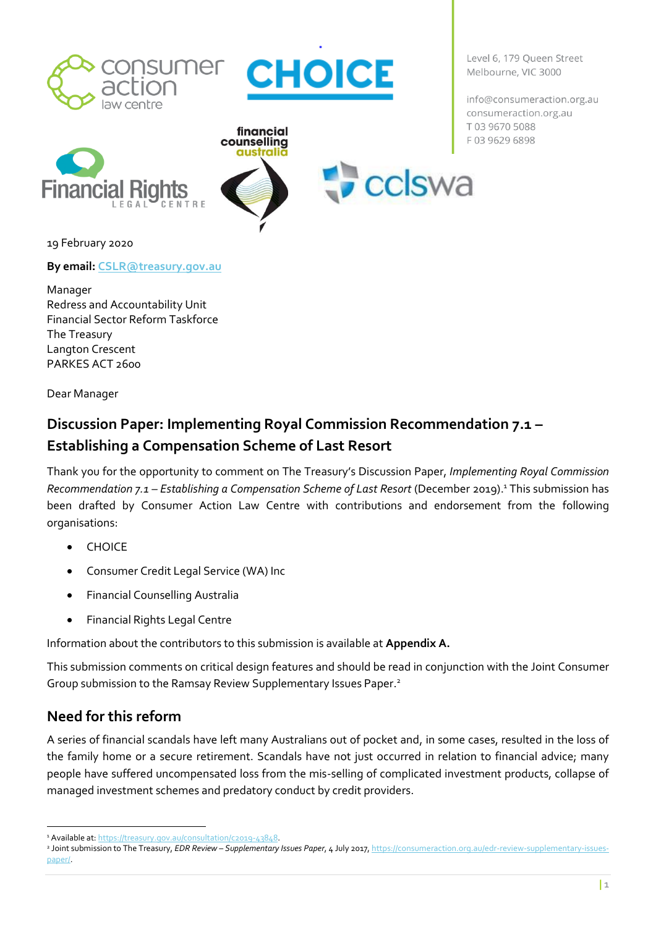



CENTRE  $F G \Delta I$ 



cclswa

info@consumeraction.org.au consumeraction.org.au T03 9670 5088 F0396296898

Level 6, 179 Queen Street

Melbourne, VIC 3000



**By email: [CSLR@treasury.gov.au](mailto:CSLR@treasury.gov.au)**

Manager Redress and Accountability Unit Financial Sector Reform Taskforce The Treasury Langton Crescent PARKES ACT 2600

Dear Manager

# **Discussion Paper: Implementing Royal Commission Recommendation 7.1 – Establishing a Compensation Scheme of Last Resort**

Thank you for the opportunity to comment on The Treasury's Discussion Paper, *Implementing Royal Commission Recommendation 7.1 – Establishing a Compensation Scheme of Last Resort* (December 2019). <sup>1</sup> This submission has been drafted by Consumer Action Law Centre with contributions and endorsement from the following organisations:

- CHOICE
- Consumer Credit Legal Service (WA) Inc
- Financial Counselling Australia
- Financial Rights Legal Centre

Information about the contributors to this submission is available at **Appendix A.**

This submission comments on critical design features and should be read in conjunction with the Joint Consumer Group submission to the Ramsay Review Supplementary Issues Paper.<sup>2</sup>

# **Need for this reform**

A series of financial scandals have left many Australians out of pocket and, in some cases, resulted in the loss of the family home or a secure retirement. Scandals have not just occurred in relation to financial advice; many people have suffered uncompensated loss from the mis-selling of complicated investment products, collapse of managed investment schemes and predatory conduct by credit providers.

<sup>1</sup> Available at[: https://treasury.gov.au/consultation/c2019-43848.](https://treasury.gov.au/consultation/c2019-43848)

<sup>2</sup> Joint submission to The Treasury, *EDR Review – Supplementary Issues Paper*, 4 July 2017[, https://consumeraction.org.au/edr-review-supplementary-issues](https://consumeraction.org.au/edr-review-supplementary-issues-paper/)[paper/.](https://consumeraction.org.au/edr-review-supplementary-issues-paper/)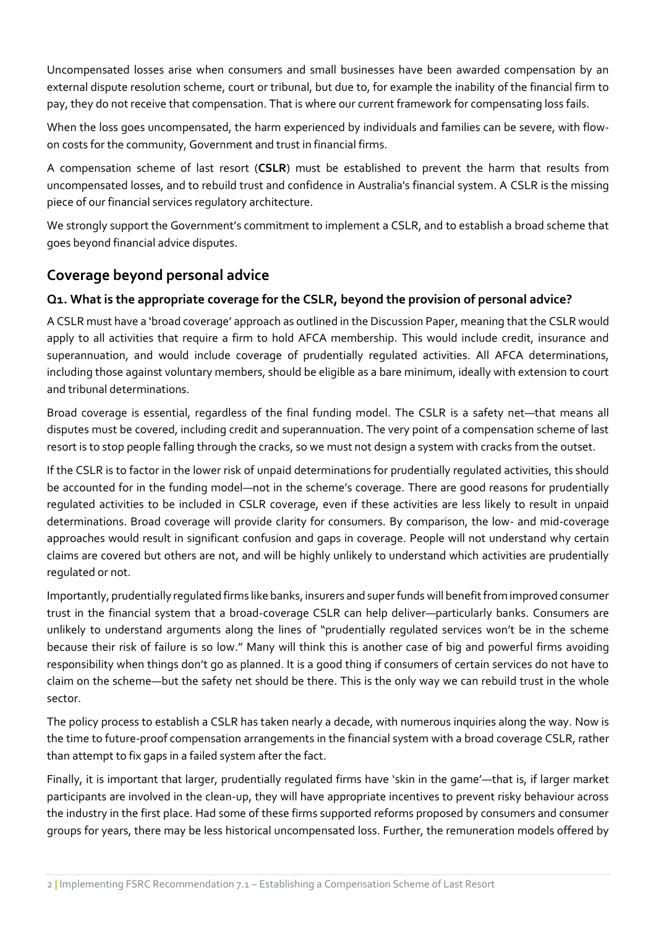Uncompensated losses arise when consumers and small businesses have been awarded compensation by an external dispute resolution scheme, court or tribunal, but due to, for example the inability of the financial firm to pay, they do not receive that compensation. That is where our current framework for compensating loss fails.

When the loss goes uncompensated, the harm experienced by individuals and families can be severe, with flowon costs for the community, Government and trust in financial firms.

A compensation scheme of last resort (**CSLR**) must be established to prevent the harm that results from uncompensated losses, and to rebuild trust and confidence in Australia's financial system. A CSLR is the missing piece of our financial services regulatory architecture.

We strongly support the Government's commitment to implement a CSLR, and to establish a broad scheme that goes beyond financial advice disputes.

# **Coverage beyond personal advice**

# **Q1. What is the appropriate coverage for the CSLR, beyond the provision of personal advice?**

A CSLR must have a 'broad coverage' approach as outlined in the Discussion Paper, meaning that the CSLR would apply to all activities that require a firm to hold AFCA membership. This would include credit, insurance and superannuation, and would include coverage of prudentially regulated activities. All AFCA determinations, including those against voluntary members, should be eligible as a bare minimum, ideally with extension to court and tribunal determinations.

Broad coverage is essential, regardless of the final funding model. The CSLR is a safety net—that means all disputes must be covered, including credit and superannuation. The very point of a compensation scheme of last resort is to stop people falling through the cracks, so we must not design a system with cracks from the outset.

If the CSLR is to factor in the lower risk of unpaid determinations for prudentially regulated activities, this should be accounted for in the funding model—not in the scheme's coverage. There are good reasons for prudentially regulated activities to be included in CSLR coverage, even if these activities are less likely to result in unpaid determinations. Broad coverage will provide clarity for consumers. By comparison, the low- and mid-coverage approaches would result in significant confusion and gaps in coverage. People will not understand why certain claims are covered but others are not, and will be highly unlikely to understand which activities are prudentially regulated or not.

Importantly, prudentially regulated firms like banks, insurers and super funds will benefit from improved consumer trust in the financial system that a broad-coverage CSLR can help deliver—particularly banks. Consumers are unlikely to understand arguments along the lines of "prudentially regulated services won't be in the scheme because their risk of failure is so low." Many will think this is another case of big and powerful firms avoiding responsibility when things don't go as planned. It is a good thing if consumers of certain services do not have to claim on the scheme—but the safety net should be there. This is the only way we can rebuild trust in the whole sector.

The policy process to establish a CSLR has taken nearly a decade, with numerous inquiries along the way. Now is the time to future-proof compensation arrangements in the financial system with a broad coverage CSLR, rather than attempt to fix gaps in a failed system after the fact.

Finally, it is important that larger, prudentially regulated firms have 'skin in the game'—that is, if larger market participants are involved in the clean-up, they will have appropriate incentives to prevent risky behaviour across the industry in the first place. Had some of these firms supported reforms proposed by consumers and consumer groups for years, there may be less historical uncompensated loss. Further, the remuneration models offered by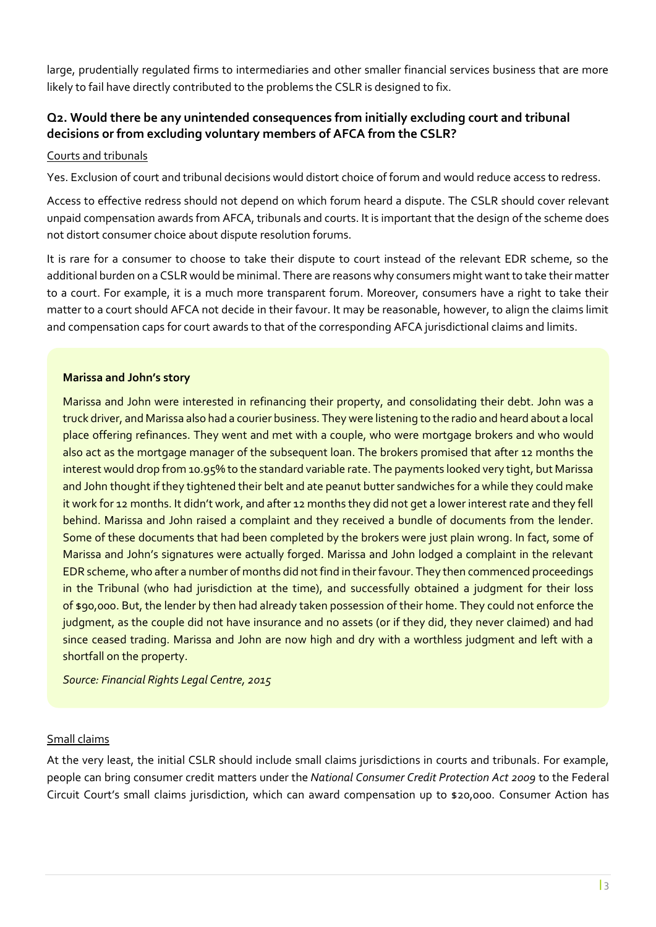large, prudentially regulated firms to intermediaries and other smaller financial services business that are more likely to fail have directly contributed to the problems the CSLR is designed to fix.

# **Q2. Would there be any unintended consequences from initially excluding court and tribunal decisions or from excluding voluntary members of AFCA from the CSLR?**

#### Courts and tribunals

Yes. Exclusion of court and tribunal decisions would distort choice of forum and would reduce access to redress.

Access to effective redress should not depend on which forum heard a dispute. The CSLR should cover relevant unpaid compensation awards from AFCA, tribunals and courts. It is important that the design of the scheme does not distort consumer choice about dispute resolution forums.

It is rare for a consumer to choose to take their dispute to court instead of the relevant EDR scheme, so the additional burden on a CSLR would be minimal. There are reasons why consumers might want to take their matter to a court. For example, it is a much more transparent forum. Moreover, consumers have a right to take their matter to a court should AFCA not decide in their favour. It may be reasonable, however, to align the claims limit and compensation caps for court awards to that of the corresponding AFCA jurisdictional claims and limits.

#### **Marissa and John's story**

Marissa and John were interested in refinancing their property, and consolidating their debt. John was a truck driver, and Marissa also had a courier business. They were listening to the radio and heard about a local place offering refinances. They went and met with a couple, who were mortgage brokers and who would also act as the mortgage manager of the subsequent loan. The brokers promised that after 12 months the interest would drop from 10.95% to the standard variable rate. The payments looked very tight, but Marissa and John thought if they tightened their belt and ate peanut butter sandwiches for a while they could make it work for 12 months. It didn't work, and after 12 months they did not get a lower interest rate and they fell behind. Marissa and John raised a complaint and they received a bundle of documents from the lender. Some of these documents that had been completed by the brokers were just plain wrong. In fact, some of Marissa and John's signatures were actually forged. Marissa and John lodged a complaint in the relevant EDR scheme, who after a number of months did not find in their favour. They then commenced proceedings in the Tribunal (who had jurisdiction at the time), and successfully obtained a judgment for their loss of \$90,000. But, the lender by then had already taken possession of their home. They could not enforce the judgment, as the couple did not have insurance and no assets (or if they did, they never claimed) and had since ceased trading. Marissa and John are now high and dry with a worthless judgment and left with a shortfall on the property.

*Source: Financial Rights Legal Centre, 2015*

#### Small claims

At the very least, the initial CSLR should include small claims jurisdictions in courts and tribunals. For example, people can bring consumer credit matters under the *National Consumer Credit Protection Act 2009* to the Federal Circuit Court's small claims jurisdiction, which can award compensation up to \$20,000. Consumer Action has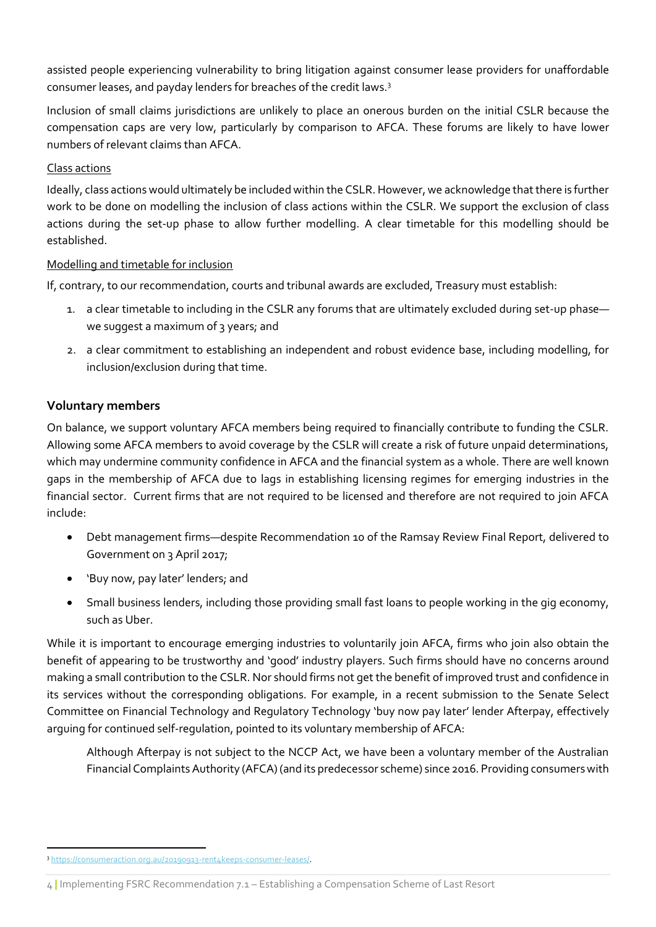assisted people experiencing vulnerability to bring litigation against consumer lease providers for unaffordable consumer leases, and payday lenders for breaches of the credit laws.<sup>3</sup>

Inclusion of small claims jurisdictions are unlikely to place an onerous burden on the initial CSLR because the compensation caps are very low, particularly by comparison to AFCA. These forums are likely to have lower numbers of relevant claims than AFCA.

#### Class actions

Ideally, class actions would ultimately be included within the CSLR. However, we acknowledge that there is further work to be done on modelling the inclusion of class actions within the CSLR. We support the exclusion of class actions during the set-up phase to allow further modelling. A clear timetable for this modelling should be established.

#### Modelling and timetable for inclusion

If, contrary, to our recommendation, courts and tribunal awards are excluded, Treasury must establish:

- 1. a clear timetable to including in the CSLR any forums that are ultimately excluded during set-up phase we suggest a maximum of 3 years; and
- 2. a clear commitment to establishing an independent and robust evidence base, including modelling, for inclusion/exclusion during that time.

#### **Voluntary members**

On balance, we support voluntary AFCA members being required to financially contribute to funding the CSLR. Allowing some AFCA members to avoid coverage by the CSLR will create a risk of future unpaid determinations, which may undermine community confidence in AFCA and the financial system as a whole. There are well known gaps in the membership of AFCA due to lags in establishing licensing regimes for emerging industries in the financial sector. Current firms that are not required to be licensed and therefore are not required to join AFCA include:

- Debt management firms—despite Recommendation 10 of the Ramsay Review Final Report, delivered to Government on 3 April 2017;
- 'Buy now, pay later' lenders; and
- Small business lenders, including those providing small fast loans to people working in the gig economy, such as Uber.

While it is important to encourage emerging industries to voluntarily join AFCA, firms who join also obtain the benefit of appearing to be trustworthy and 'good' industry players. Such firms should have no concerns around making a small contribution to the CSLR. Nor should firms not get the benefit of improved trust and confidence in its services without the corresponding obligations. For example, in a recent submission to the Senate Select Committee on Financial Technology and Regulatory Technology 'buy now pay later' lender Afterpay, effectively arguing for continued self-regulation, pointed to its voluntary membership of AFCA:

Although Afterpay is not subject to the NCCP Act, we have been a voluntary member of the Australian Financial Complaints Authority (AFCA) (and its predecessor scheme) since 2016. Providing consumers with

<sup>3</sup> [https://consumeraction.org.au/20190913-rent4keeps-consumer-leases/.](https://consumeraction.org.au/20190913-rent4keeps-consumer-leases/)

<sup>4</sup> **|** Implementing FSRC Recommendation 7.1 – Establishing a Compensation Scheme of Last Resort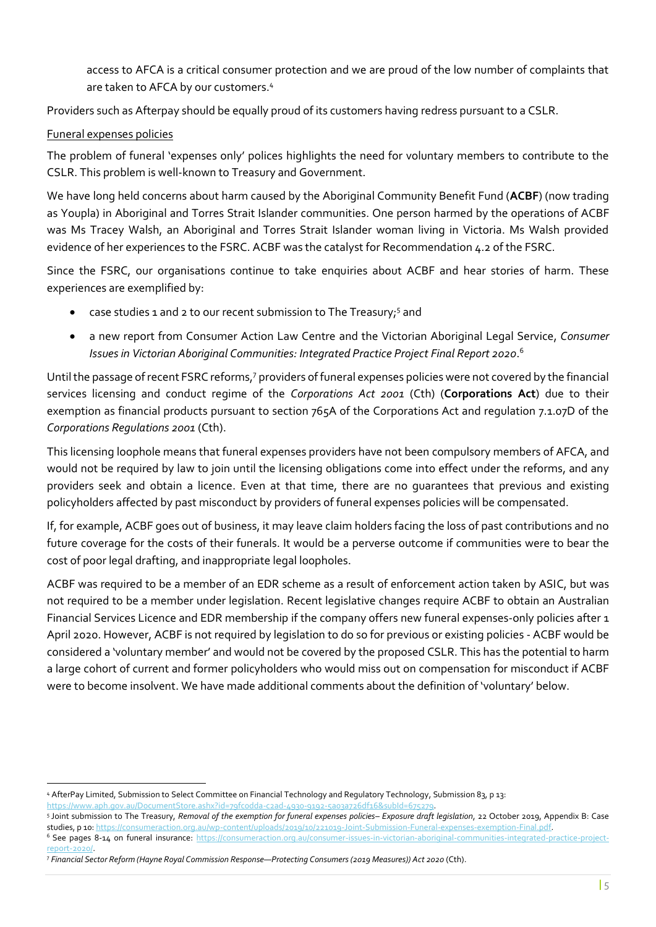access to AFCA is a critical consumer protection and we are proud of the low number of complaints that are taken to AFCA by our customers.<sup>4</sup>

Providers such as Afterpay should be equally proud of its customers having redress pursuant to a CSLR.

## Funeral expenses policies

The problem of funeral 'expenses only' polices highlights the need for voluntary members to contribute to the CSLR. This problem is well-known to Treasury and Government.

We have long held concerns about harm caused by the Aboriginal Community Benefit Fund (**ACBF**) (now trading as Youpla) in Aboriginal and Torres Strait Islander communities. One person harmed by the operations of ACBF was Ms Tracey Walsh, an Aboriginal and Torres Strait Islander woman living in Victoria. Ms Walsh provided evidence of her experiences to the FSRC. ACBF was the catalyst for Recommendation 4.2 of the FSRC.

Since the FSRC, our organisations continue to take enquiries about ACBF and hear stories of harm. These experiences are exemplified by:

- case studies 1 and 2 to our recent submission to The Treasury;<sup>5</sup> and
- a new report from Consumer Action Law Centre and the Victorian Aboriginal Legal Service, *Consumer Issues in Victorian Aboriginal Communities: Integrated Practice Project Final Report 2020*. 6

Until the passage of recent FSRC reforms,<sup>7</sup> providers of funeral expenses policies were not covered by the financial services licensing and conduct regime of the *Corporations Act 2001* (Cth) (**Corporations Act**) due to their exemption as financial products pursuant to section 765A of the Corporations Act and regulation 7.1.07D of the *Corporations Regulations 2001* (Cth).

This licensing loophole means that funeral expenses providers have not been compulsory members of AFCA, and would not be required by law to join until the licensing obligations come into effect under the reforms, and any providers seek and obtain a licence. Even at that time, there are no guarantees that previous and existing policyholders affected by past misconduct by providers of funeral expenses policies will be compensated.

If, for example, ACBF goes out of business, it may leave claim holders facing the loss of past contributions and no future coverage for the costs of their funerals. It would be a perverse outcome if communities were to bear the cost of poor legal drafting, and inappropriate legal loopholes.

ACBF was required to be a member of an EDR scheme as a result of enforcement action taken by ASIC, but was not required to be a member under legislation. Recent legislative changes require ACBF to obtain an Australian Financial Services Licence and EDR membership if the company offers new funeral expenses-only policies after 1 April 2020. However, ACBF is not required by legislation to do so for previous or existing policies - ACBF would be considered a 'voluntary member' and would not be covered by the proposed CSLR. This has the potential to harm a large cohort of current and former policyholders who would miss out on compensation for misconduct if ACBF were to become insolvent. We have made additional comments about the definition of 'voluntary' below.

<sup>4</sup> AfterPay Limited, Submission to Select Committee on Financial Technology and Regulatory Technology, Submission 83, p 13: [https://www.aph.gov.au/DocumentStore.ashx?id=79fc0dda-c2ad-4930-9192-5a03a726df16&subId=675279.](https://www.aph.gov.au/DocumentStore.ashx?id=79fc0dda-c2ad-4930-9192-5a03a726df16&subId=675279) 

<sup>5</sup> Joint submission to The Treasury, *Removal of the exemption for funeral expenses policies– Exposure draft legislation*, 22 October 2019, Appendix B: Case studies, p 10: https://consumeraction.org.au/wp-content/uploads/2019/10/221019-Joint-Submission-Funeral-expenses-exemption-Final.pd

<sup>6</sup> See pages 8-14 on funeral insurance: [https://consumeraction.org.au/consumer-issues-in-victorian-aboriginal-communities-integrated-practice-project](https://consumeraction.org.au/consumer-issues-in-victorian-aboriginal-communities-integrated-practice-project-report-2020/)[report-2020/.](https://consumeraction.org.au/consumer-issues-in-victorian-aboriginal-communities-integrated-practice-project-report-2020/) 

<sup>7</sup> *Financial Sector Reform (Hayne Royal Commission Response—Protecting Consumers (2019 Measures)) Act 2020* (Cth).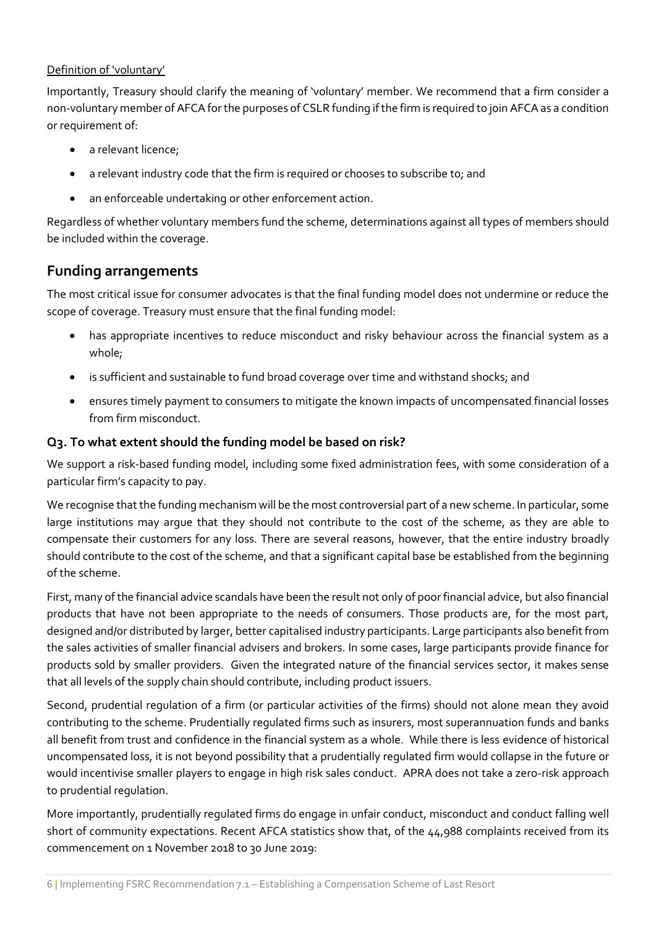#### Definition of 'voluntary'

Importantly, Treasury should clarify the meaning of 'voluntary' member. We recommend that a firm consider a non-voluntary member of AFCA for the purposes of CSLR funding if the firm is required to join AFCA as a condition or requirement of:

- a relevant licence;
- a relevant industry code that the firm is required or chooses to subscribe to; and
- an enforceable undertaking or other enforcement action.

Regardless of whether voluntary members fund the scheme, determinations against all types of members should be included within the coverage.

# **Funding arrangements**

The most critical issue for consumer advocates is that the final funding model does not undermine or reduce the scope of coverage. Treasury must ensure that the final funding model:

- has appropriate incentives to reduce misconduct and risky behaviour across the financial system as a whole;
- is sufficient and sustainable to fund broad coverage over time and withstand shocks; and
- ensures timely payment to consumers to mitigate the known impacts of uncompensated financial losses from firm misconduct.

#### **Q3. To what extent should the funding model be based on risk?**

We support a risk-based funding model, including some fixed administration fees, with some consideration of a particular firm's capacity to pay.

We recognise that the funding mechanism will be the most controversial part of a new scheme. In particular, some large institutions may argue that they should not contribute to the cost of the scheme, as they are able to compensate their customers for any loss. There are several reasons, however, that the entire industry broadly should contribute to the cost of the scheme, and that a significant capital base be established from the beginning of the scheme.

First, many of the financial advice scandals have been the result not only of poor financial advice, but also financial products that have not been appropriate to the needs of consumers. Those products are, for the most part, designed and/or distributed by larger, better capitalised industry participants. Large participants also benefit from the sales activities of smaller financial advisers and brokers. In some cases, large participants provide finance for products sold by smaller providers. Given the integrated nature of the financial services sector, it makes sense that all levels of the supply chain should contribute, including product issuers.

Second, prudential regulation of a firm (or particular activities of the firms) should not alone mean they avoid contributing to the scheme. Prudentially regulated firms such as insurers, most superannuation funds and banks all benefit from trust and confidence in the financial system as a whole. While there is less evidence of historical uncompensated loss, it is not beyond possibility that a prudentially regulated firm would collapse in the future or would incentivise smaller players to engage in high risk sales conduct. APRA does not take a zero-risk approach to prudential regulation.

More importantly, prudentially regulated firms do engage in unfair conduct, misconduct and conduct falling well short of community expectations. Recent AFCA statistics show that, of the 44,988 complaints received from its commencement on 1 November 2018 to 30 June 2019: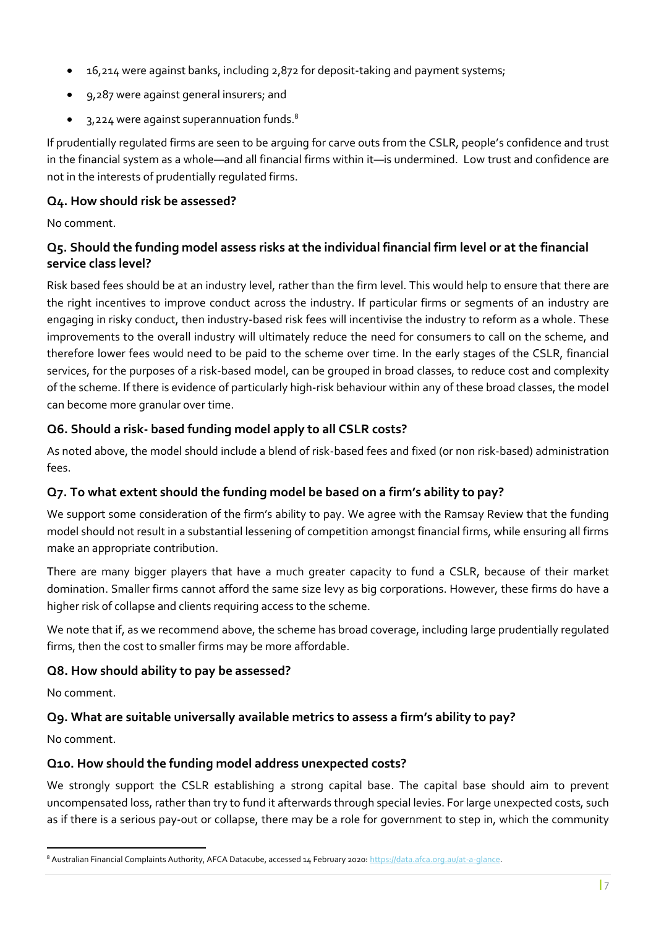- 16,214 were against banks, including 2,872 for deposit-taking and payment systems;
- 9,287 were against general insurers; and
- 3,224 were against superannuation funds.<sup>8</sup>

If prudentially regulated firms are seen to be arguing for carve outs from the CSLR, people's confidence and trust in the financial system as a whole—and all financial firms within it—is undermined. Low trust and confidence are not in the interests of prudentially regulated firms.

## **Q4. How should risk be assessed?**

No comment.

## **Q5. Should the funding model assess risks at the individual financial firm level or at the financial service class level?**

Risk based fees should be at an industry level, rather than the firm level. This would help to ensure that there are the right incentives to improve conduct across the industry. If particular firms or segments of an industry are engaging in risky conduct, then industry-based risk fees will incentivise the industry to reform as a whole. These improvements to the overall industry will ultimately reduce the need for consumers to call on the scheme, and therefore lower fees would need to be paid to the scheme over time. In the early stages of the CSLR, financial services, for the purposes of a risk-based model, can be grouped in broad classes, to reduce cost and complexity of the scheme. If there is evidence of particularly high-risk behaviour within any of these broad classes, the model can become more granular over time.

# **Q6. Should a risk- based funding model apply to all CSLR costs?**

As noted above, the model should include a blend of risk-based fees and fixed (or non risk-based) administration fees.

# **Q7. To what extent should the funding model be based on a firm's ability to pay?**

We support some consideration of the firm's ability to pay. We agree with the Ramsay Review that the funding model should not result in a substantial lessening of competition amongst financial firms, while ensuring all firms make an appropriate contribution.

There are many bigger players that have a much greater capacity to fund a CSLR, because of their market domination. Smaller firms cannot afford the same size levy as big corporations. However, these firms do have a higher risk of collapse and clients requiring access to the scheme.

We note that if, as we recommend above, the scheme has broad coverage, including large prudentially regulated firms, then the cost to smaller firms may be more affordable.

# **Q8. How should ability to pay be assessed?**

No comment.

# **Q9. What are suitable universally available metrics to assess a firm's ability to pay?**

No comment.

# **Q10. How should the funding model address unexpected costs?**

We strongly support the CSLR establishing a strong capital base. The capital base should aim to prevent uncompensated loss, rather than try to fund it afterwards through special levies. For large unexpected costs, such as if there is a serious pay-out or collapse, there may be a role for government to step in, which the community

<sup>8</sup> Australian Financial Complaints Authority, AFCA Datacube, accessed 14 February 2020[: https://data.afca.org.au/at-a-glance.](https://data.afca.org.au/at-a-glance)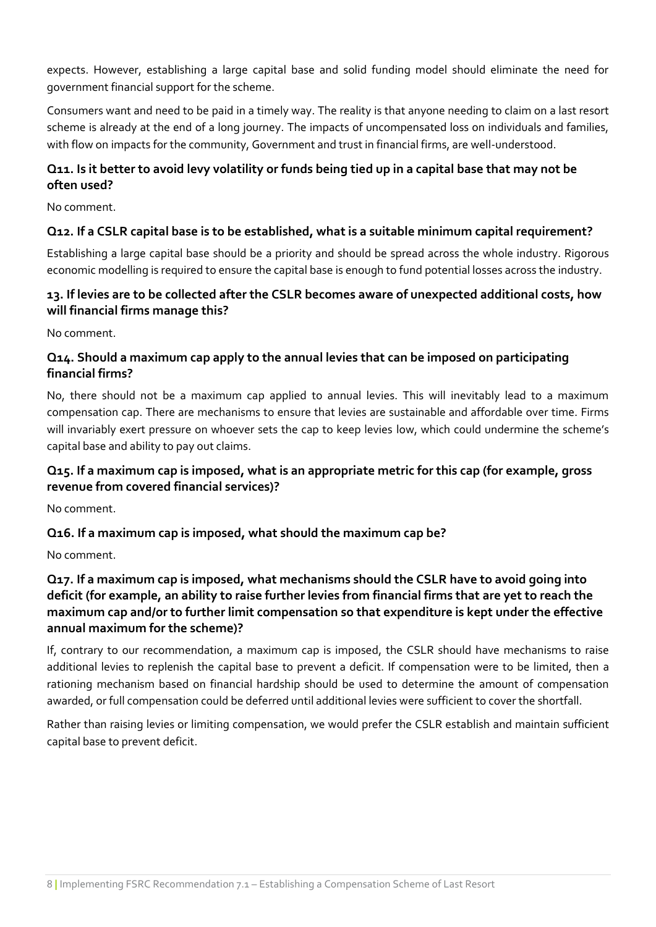expects. However, establishing a large capital base and solid funding model should eliminate the need for government financial support for the scheme.

Consumers want and need to be paid in a timely way. The reality is that anyone needing to claim on a last resort scheme is already at the end of a long journey. The impacts of uncompensated loss on individuals and families, with flow on impacts for the community, Government and trust in financial firms, are well-understood.

# **Q11. Is it better to avoid levy volatility or funds being tied up in a capital base that may not be often used?**

No comment.

## **Q12. If a CSLR capital base is to be established, what is a suitable minimum capital requirement?**

Establishing a large capital base should be a priority and should be spread across the whole industry. Rigorous economic modelling is required to ensure the capital base is enough to fund potential losses across the industry.

## **13. If levies are to be collected after the CSLR becomes aware of unexpected additional costs, how will financial firms manage this?**

No comment.

## **Q14. Should a maximum cap apply to the annual levies that can be imposed on participating financial firms?**

No, there should not be a maximum cap applied to annual levies. This will inevitably lead to a maximum compensation cap. There are mechanisms to ensure that levies are sustainable and affordable over time. Firms will invariably exert pressure on whoever sets the cap to keep levies low, which could undermine the scheme's capital base and ability to pay out claims.

# **Q15. If a maximum cap is imposed, what is an appropriate metric for this cap (for example, gross revenue from covered financial services)?**

No comment.

# **Q16. If a maximum cap is imposed, what should the maximum cap be?**

No comment.

# **Q17. If a maximum cap is imposed, what mechanisms should the CSLR have to avoid going into deficit (for example, an ability to raise further levies from financial firms that are yet to reach the maximum cap and/or to further limit compensation so that expenditure is kept under the effective annual maximum for the scheme)?**

If, contrary to our recommendation, a maximum cap is imposed, the CSLR should have mechanisms to raise additional levies to replenish the capital base to prevent a deficit. If compensation were to be limited, then a rationing mechanism based on financial hardship should be used to determine the amount of compensation awarded, or full compensation could be deferred until additional levies were sufficient to cover the shortfall.

Rather than raising levies or limiting compensation, we would prefer the CSLR establish and maintain sufficient capital base to prevent deficit.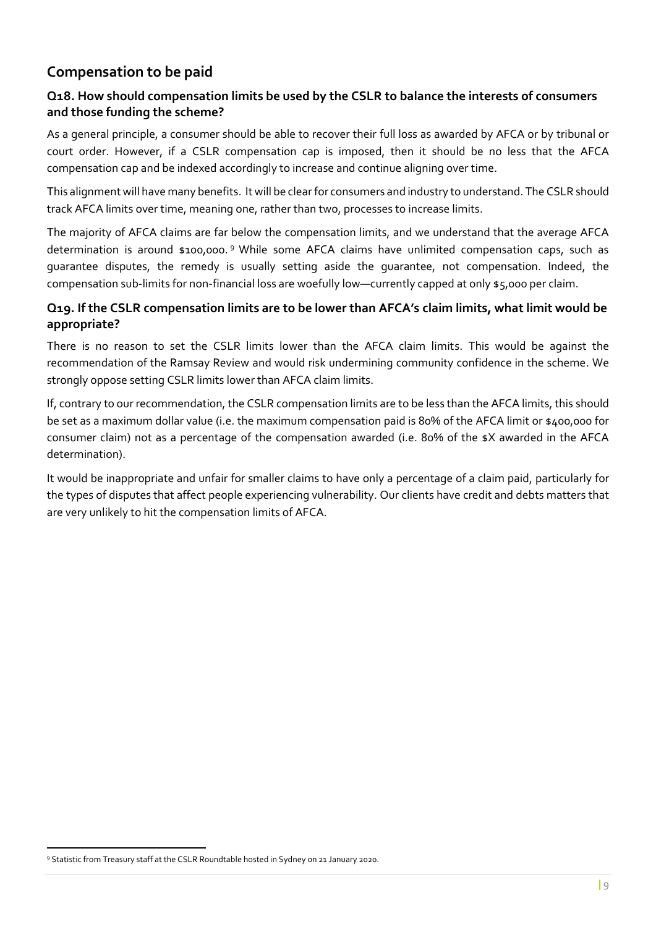# **Compensation to be paid**

## **Q18. How should compensation limits be used by the CSLR to balance the interests of consumers and those funding the scheme?**

As a general principle, a consumer should be able to recover their full loss as awarded by AFCA or by tribunal or court order. However, if a CSLR compensation cap is imposed, then it should be no less that the AFCA compensation cap and be indexed accordingly to increase and continue aligning over time.

This alignment will have many benefits. It will be clear for consumers and industry to understand. The CSLR should track AFCA limits over time, meaning one, rather than two, processes to increase limits.

The majority of AFCA claims are far below the compensation limits, and we understand that the average AFCA determination is around \$100,000.<sup>9</sup> While some AFCA claims have unlimited compensation caps, such as guarantee disputes, the remedy is usually setting aside the guarantee, not compensation. Indeed, the compensation sub-limits for non-financial loss are woefully low—currently capped at only \$5,000 per claim.

## **Q19. If the CSLR compensation limits are to be lower than AFCA's claim limits, what limit would be appropriate?**

There is no reason to set the CSLR limits lower than the AFCA claim limits. This would be against the recommendation of the Ramsay Review and would risk undermining community confidence in the scheme. We strongly oppose setting CSLR limits lower than AFCA claim limits.

If, contrary to our recommendation, the CSLR compensation limits are to be less than the AFCA limits, this should be set as a maximum dollar value (i.e. the maximum compensation paid is 80% of the AFCA limit or \$400,000 for consumer claim) not as a percentage of the compensation awarded (i.e. 80% of the \$X awarded in the AFCA determination).

It would be inappropriate and unfair for smaller claims to have only a percentage of a claim paid, particularly for the types of disputes that affect people experiencing vulnerability. Our clients have credit and debts matters that are very unlikely to hit the compensation limits of AFCA.

<sup>9</sup> Statistic from Treasury staff at the CSLR Roundtable hosted in Sydney on 21 January 2020.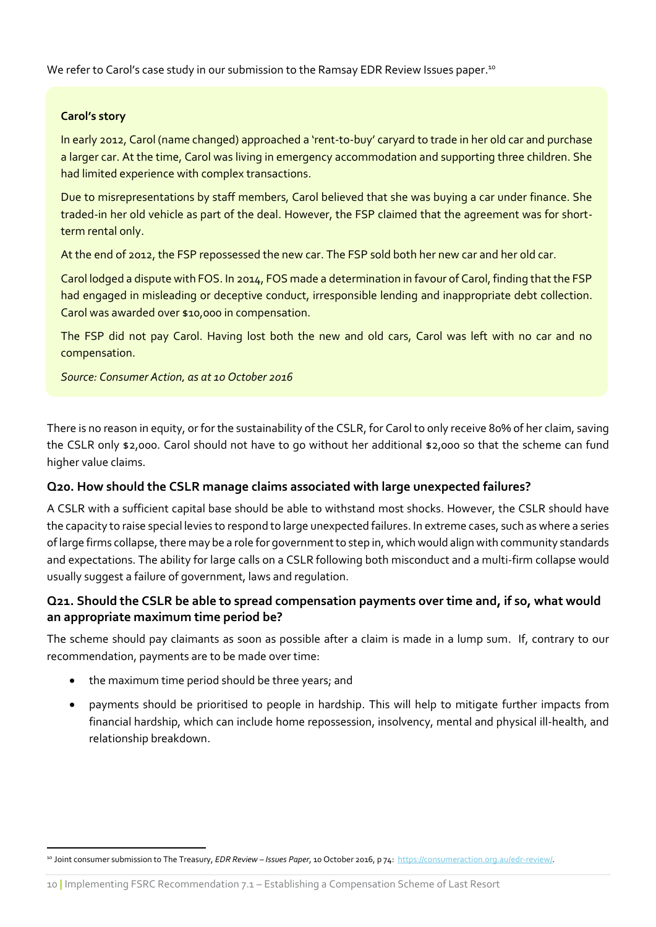We refer to Carol's case study in our submission to the Ramsay EDR Review Issues paper. $^{10}$ 

#### **Carol's story**

In early 2012, Carol (name changed) approached a 'rent-to-buy' caryard to trade in her old car and purchase a larger car. At the time, Carol was living in emergency accommodation and supporting three children. She had limited experience with complex transactions.

Due to misrepresentations by staff members, Carol believed that she was buying a car under finance. She traded-in her old vehicle as part of the deal. However, the FSP claimed that the agreement was for shortterm rental only.

At the end of 2012, the FSP repossessed the new car. The FSP sold both her new car and her old car.

Carol lodged a dispute with FOS. In 2014, FOS made a determination in favour of Carol, finding that the FSP had engaged in misleading or deceptive conduct, irresponsible lending and inappropriate debt collection. Carol was awarded over \$10,000 in compensation.

The FSP did not pay Carol. Having lost both the new and old cars, Carol was left with no car and no compensation.

*Source: Consumer Action, as at 10 October 2016*

There is no reason in equity, or for the sustainability of the CSLR, for Carol to only receive 80% of her claim, saving the CSLR only \$2,000. Carol should not have to go without her additional \$2,000 so that the scheme can fund higher value claims.

#### **Q20. How should the CSLR manage claims associated with large unexpected failures?**

A CSLR with a sufficient capital base should be able to withstand most shocks. However, the CSLR should have the capacity to raise special levies to respond to large unexpected failures. In extreme cases, such as where a series of large firms collapse, there may be a role for government to step in, which would align with community standards and expectations. The ability for large calls on a CSLR following both misconduct and a multi-firm collapse would usually suggest a failure of government, laws and regulation.

# **Q21. Should the CSLR be able to spread compensation payments over time and, if so, what would an appropriate maximum time period be?**

The scheme should pay claimants as soon as possible after a claim is made in a lump sum. If, contrary to our recommendation, payments are to be made over time:

- the maximum time period should be three years; and
- payments should be prioritised to people in hardship. This will help to mitigate further impacts from financial hardship, which can include home repossession, insolvency, mental and physical ill-health, and relationship breakdown.

<sup>10</sup> Joint consumer submission to The Treasury, *EDR Review – Issues Paper*, 10 October 2016, p 74: [https://consumeraction.org.au/edr-review/.](https://consumeraction.org.au/edr-review/)

<sup>10</sup> **|** Implementing FSRC Recommendation 7.1 – Establishing a Compensation Scheme of Last Resort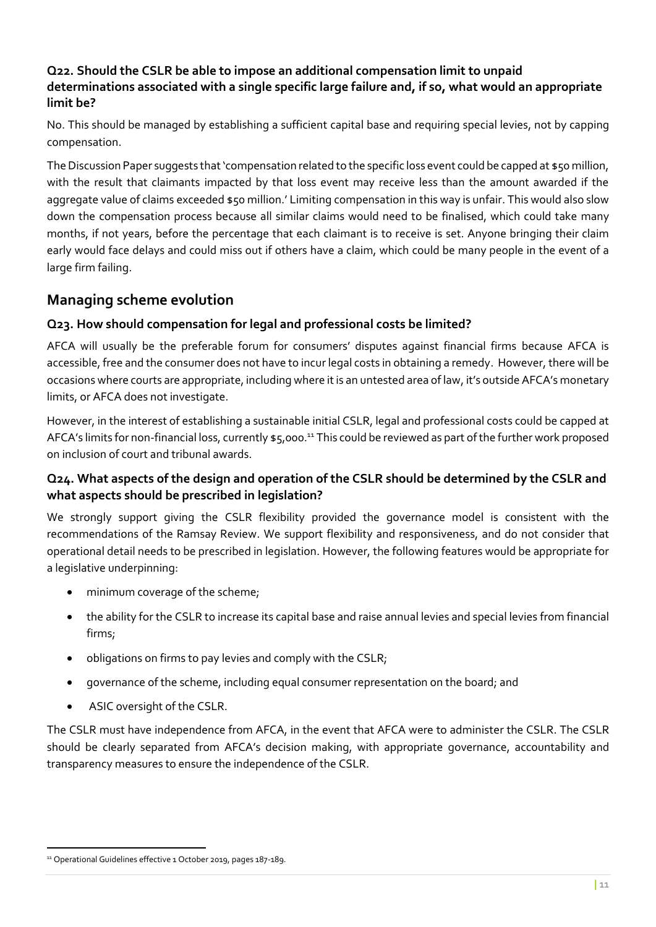## **Q22. Should the CSLR be able to impose an additional compensation limit to unpaid determinations associated with a single specific large failure and, if so, what would an appropriate limit be?**

No. This should be managed by establishing a sufficient capital base and requiring special levies, not by capping compensation.

The Discussion Paper suggests that 'compensation related to the specific loss event could be capped at \$50 million, with the result that claimants impacted by that loss event may receive less than the amount awarded if the aggregate value of claims exceeded \$50 million.' Limiting compensation in this way is unfair. This would also slow down the compensation process because all similar claims would need to be finalised, which could take many months, if not years, before the percentage that each claimant is to receive is set. Anyone bringing their claim early would face delays and could miss out if others have a claim, which could be many people in the event of a large firm failing.

# **Managing scheme evolution**

## **Q23. How should compensation for legal and professional costs be limited?**

AFCA will usually be the preferable forum for consumers' disputes against financial firms because AFCA is accessible, free and the consumer does not have to incur legal costs in obtaining a remedy. However, there will be occasions where courts are appropriate, including where it is an untested area of law, it's outside AFCA's monetary limits, or AFCA does not investigate.

However, in the interest of establishing a sustainable initial CSLR, legal and professional costs could be capped at AFCA's limits for non-financial loss, currently \$5,000.<sup>11</sup> This could be reviewed as part of the further work proposed on inclusion of court and tribunal awards.

# **Q24. What aspects of the design and operation of the CSLR should be determined by the CSLR and what aspects should be prescribed in legislation?**

We strongly support giving the CSLR flexibility provided the governance model is consistent with the recommendations of the Ramsay Review. We support flexibility and responsiveness, and do not consider that operational detail needs to be prescribed in legislation. However, the following features would be appropriate for a legislative underpinning:

- minimum coverage of the scheme;
- the ability for the CSLR to increase its capital base and raise annual levies and special levies from financial firms;
- obligations on firms to pay levies and comply with the CSLR;
- governance of the scheme, including equal consumer representation on the board; and
- ASIC oversight of the CSLR.

The CSLR must have independence from AFCA, in the event that AFCA were to administer the CSLR. The CSLR should be clearly separated from AFCA's decision making, with appropriate governance, accountability and transparency measures to ensure the independence of the CSLR.

<sup>&</sup>lt;sup>11</sup> Operational Guidelines effective 1 October 2019, pages 187-189.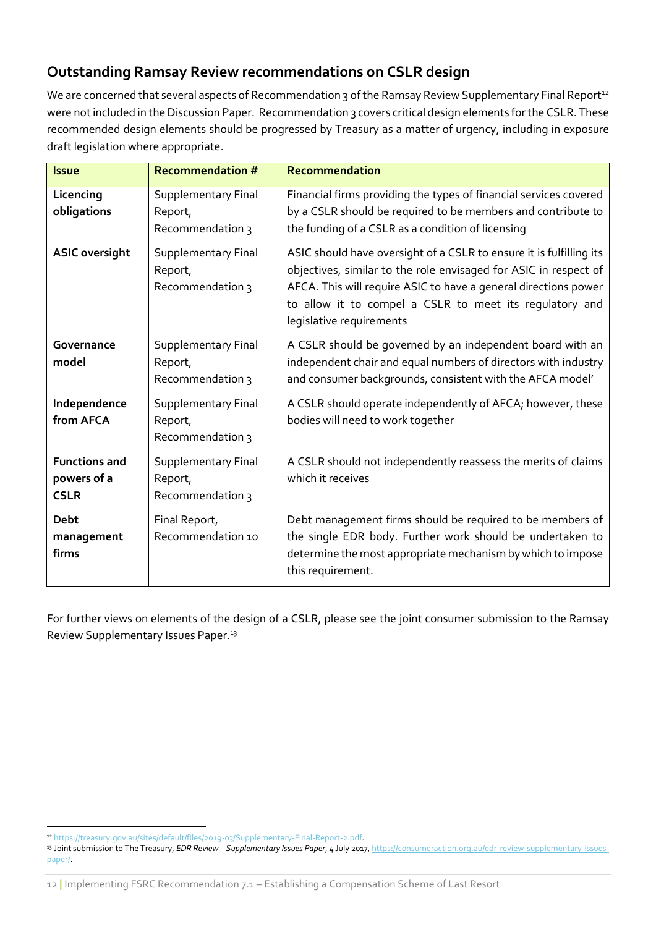# **Outstanding Ramsay Review recommendations on CSLR design**

We are concerned that several aspects of Recommendation 3 of the Ramsay Review Supplementary Final Report<sup>12</sup> were not included in the Discussion Paper. Recommendation 3 covers critical design elements for the CSLR. These recommended design elements should be progressed by Treasury as a matter of urgency, including in exposure draft legislation where appropriate.

| <b>Issue</b>                                       | <b>Recommendation #</b>                                   | Recommendation                                                                                                                                                                                                                                                                                    |
|----------------------------------------------------|-----------------------------------------------------------|---------------------------------------------------------------------------------------------------------------------------------------------------------------------------------------------------------------------------------------------------------------------------------------------------|
| Licencing<br>obligations                           | <b>Supplementary Final</b><br>Report,<br>Recommendation 3 | Financial firms providing the types of financial services covered<br>by a CSLR should be required to be members and contribute to<br>the funding of a CSLR as a condition of licensing                                                                                                            |
| <b>ASIC oversight</b>                              | Supplementary Final<br>Report,<br>Recommendation 3        | ASIC should have oversight of a CSLR to ensure it is fulfilling its<br>objectives, similar to the role envisaged for ASIC in respect of<br>AFCA. This will require ASIC to have a general directions power<br>to allow it to compel a CSLR to meet its regulatory and<br>legislative requirements |
| Governance<br>model                                | Supplementary Final<br>Report,<br>Recommendation 3        | A CSLR should be governed by an independent board with an<br>independent chair and equal numbers of directors with industry<br>and consumer backgrounds, consistent with the AFCA model'                                                                                                          |
| Independence<br>from AFCA                          | Supplementary Final<br>Report,<br>Recommendation 3        | A CSLR should operate independently of AFCA; however, these<br>bodies will need to work together                                                                                                                                                                                                  |
| <b>Functions and</b><br>powers of a<br><b>CSLR</b> | <b>Supplementary Final</b><br>Report,<br>Recommendation 3 | A CSLR should not independently reassess the merits of claims<br>which it receives                                                                                                                                                                                                                |
| <b>Debt</b><br>management<br>firms                 | Final Report,<br>Recommendation 10                        | Debt management firms should be required to be members of<br>the single EDR body. Further work should be undertaken to<br>determine the most appropriate mechanism by which to impose<br>this requirement.                                                                                        |

For further views on elements of the design of a CSLR, please see the joint consumer submission to the Ramsay Review Supplementary Issues Paper.<sup>13</sup>

<sup>12</sup> [https://treasury.gov.au/sites/default/files/2019-03/Supplementary-Final-Report-2.pdf.](https://treasury.gov.au/sites/default/files/2019-03/Supplementary-Final-Report-2.pdf) 

<sup>13</sup> Joint submission to The Treasury, *EDR Review – Supplementary Issues Paper*, 4 July 2017[, https://consumeraction.org.au/edr-review-supplementary-issues](https://consumeraction.org.au/edr-review-supplementary-issues-paper/)[paper/.](https://consumeraction.org.au/edr-review-supplementary-issues-paper/)

<sup>12</sup> **|** Implementing FSRC Recommendation 7.1 – Establishing a Compensation Scheme of Last Resort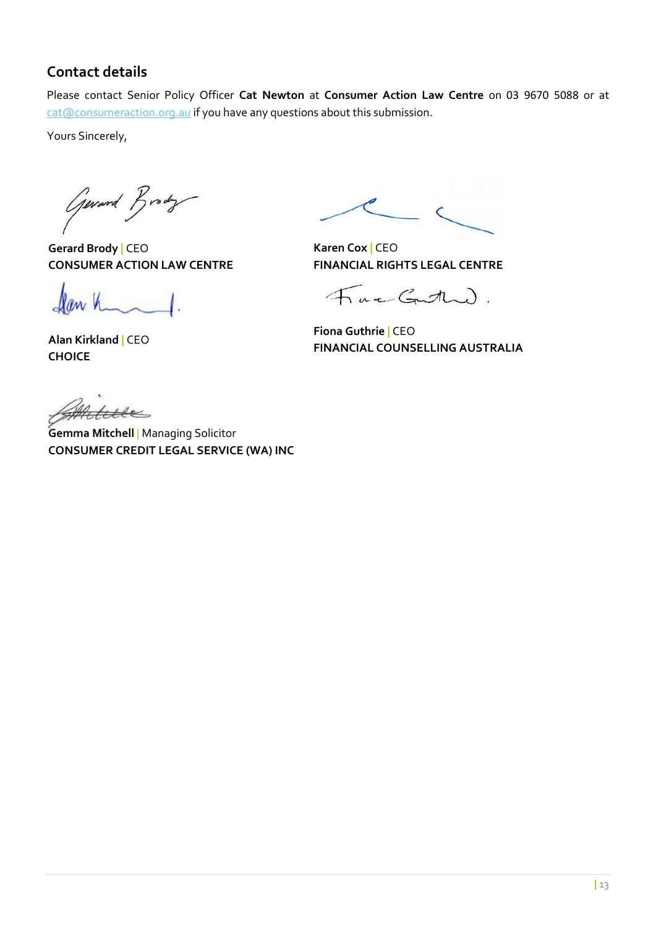# **Contact details**

Please contact Senior Policy Officer **Cat Newton** at **Consumer Action Law Centre** on 03 9670 5088 or at [cat@consumeraction.org.au](mailto:cat@consumeraction.org.au) if you have any questions about this submission.

Yours Sincerely,

General Brody

**Gerard Brody |** CEO **CONSUMER ACTION LAW CENTRE**

Dan h

**Alan Kirkland |** CEO **CHOICE**

**Karen Cox |** CEO **FINANCIAL RIGHTS LEGAL CENTRE**

FacGutha).

**Fiona Guthrie |** CEO **FINANCIAL COUNSELLING AUSTRALIA**

Hele

**Gemma Mitchell** | Managing Solicitor **CONSUMER CREDIT LEGAL SERVICE (WA) INC**